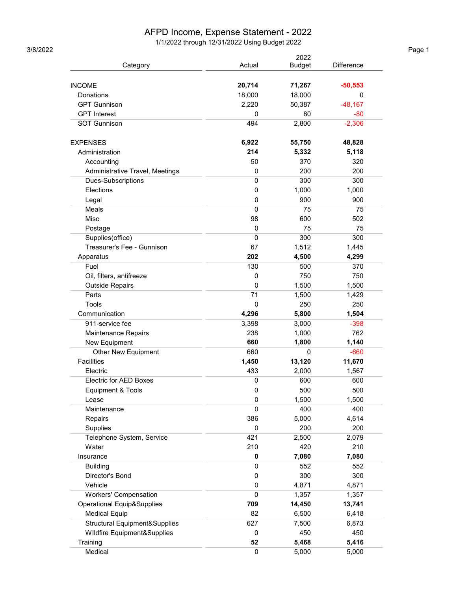## AFPD Income, Expense Statement - 2022

1/1/2022 through 12/31/2022 Using Budget 2022 3/8/2022 Page 1

|                                       |        | 2022          |            |
|---------------------------------------|--------|---------------|------------|
| Category                              | Actual | <b>Budget</b> | Difference |
|                                       |        |               |            |
| <b>INCOME</b>                         | 20,714 | 71,267        | $-50,553$  |
| Donations                             | 18,000 | 18,000        | 0          |
| <b>GPT Gunnison</b>                   | 2,220  | 50,387        | $-48,167$  |
| <b>GPT</b> Interest                   | 0      | 80            | $-80$      |
| <b>SOT Gunnison</b>                   | 494    | 2,800         | $-2,306$   |
| <b>EXPENSES</b>                       | 6,922  | 55,750        | 48,828     |
| Administration                        | 214    | 5,332         | 5,118      |
| Accounting                            | 50     | 370           | 320        |
| Administrative Travel, Meetings       | 0      | 200           | 200        |
| Dues-Subscriptions                    | 0      | 300           | 300        |
| Elections                             | 0      | 1,000         | 1,000      |
| Legal                                 | 0      | 900           | 900        |
| Meals                                 | 0      | 75            | 75         |
| <b>Misc</b>                           | 98     | 600           | 502        |
| Postage                               | 0      | 75            | 75         |
| Supplies(office)                      | 0      | 300           | 300        |
| Treasurer's Fee - Gunnison            | 67     | 1,512         | 1,445      |
| Apparatus                             | 202    | 4,500         | 4,299      |
| Fuel                                  | 130    | 500           | 370        |
| Oil, filters, antifreeze              | 0      | 750           | 750        |
| <b>Outside Repairs</b>                | 0      | 1,500         | 1,500      |
| Parts                                 | 71     | 1,500         | 1,429      |
| Tools                                 | 0      | 250           | 250        |
| Communication                         | 4,296  | 5,800         | 1,504      |
| 911-service fee                       | 3,398  | 3,000         | $-398$     |
| Maintenance Repairs                   | 238    | 1,000         | 762        |
| New Equipment                         | 660    | 1,800         | 1,140      |
| <b>Other New Equipment</b>            | 660    | 0             | $-660$     |
| <b>Facilities</b>                     | 1,450  | 13,120        | 11,670     |
| Electric                              | 433    | 2.000         | 1,567      |
| <b>Electric for AED Boxes</b>         | 0      | 600           | 600        |
| Equipment & Tools                     | 0      | 500           | 500        |
| Lease                                 | 0      | 1,500         | 1,500      |
| Maintenance                           | 0      | 400           | 400        |
| Repairs                               | 386    | 5,000         | 4,614      |
| Supplies                              | 0      | 200           | 200        |
| Telephone System, Service             | 421    | 2,500         | 2,079      |
| Water                                 | 210    | 420           | 210        |
| Insurance                             | 0      | 7,080         | 7,080      |
| <b>Building</b>                       | 0      | 552           | 552        |
| Director's Bond                       | 0      | 300           | 300        |
| Vehicle                               | 0      | 4,871         | 4,871      |
| <b>Workers' Compensation</b>          | 0      | 1,357         | 1,357      |
| <b>Operational Equip&amp;Supplies</b> | 709    | 14,450        | 13,741     |
| <b>Medical Equip</b>                  | 82     | 6,500         | 6,418      |
| Structural Equipment&Supplies         | 627    | 7,500         | 6,873      |
| Wildfire Equipment&Supplies           | 0      | 450           | 450        |
| Training                              | 52     | 5,468         | 5,416      |
| Medical                               | 0      | 5,000         | 5,000      |
|                                       |        |               |            |